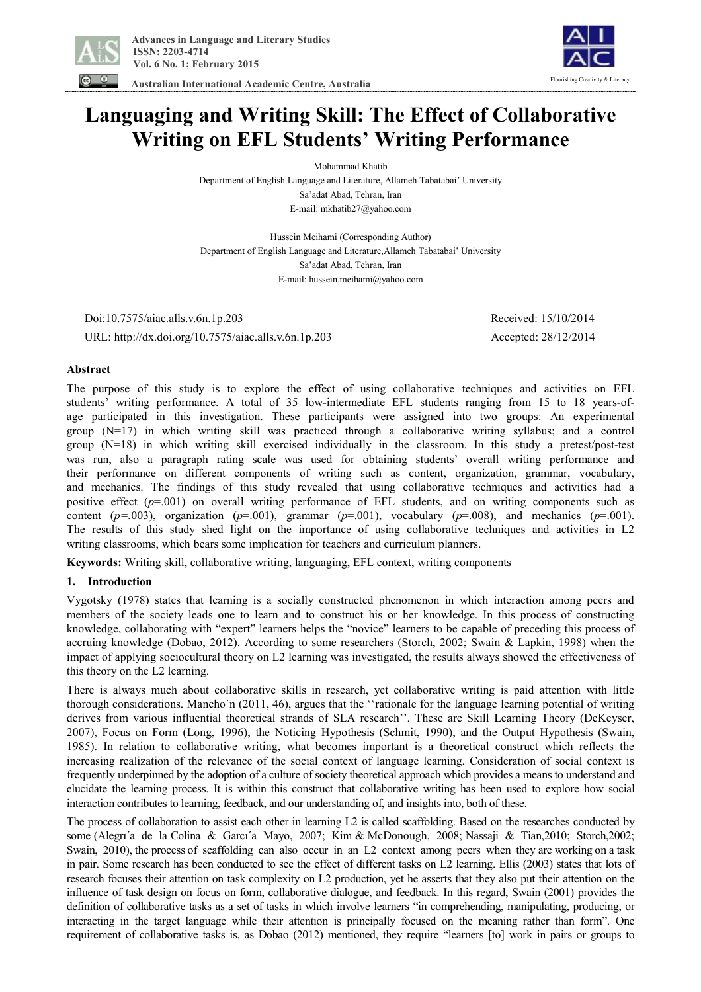

 **Australian International Academic Centre, Australia** 



# **Languaging and Writing Skill: The Effect of Collaborative Writing on EFL Students' Writing Performance**

Mohammad Khatib

Department of English Language and Literature, Allameh Tabatabai' University Sa'adat Abad, Tehran, Iran E-mail: mkhatib27@yahoo.com

Hussein Meihami (Corresponding Author) Department of English Language and Literature,Allameh Tabatabai' University Sa'adat Abad, Tehran, Iran E-mail: hussein.meihami@yahoo.com

 Doi:10.7575/aiac.alls.v.6n.1p.203 Received: 15/10/2014 URL: http://dx.doi.org/10.7575/aiac.alls.v.6n.1p.203 Accepted: 28/12/2014

# **Abstract**

The purpose of this study is to explore the effect of using collaborative techniques and activities on EFL students' writing performance. A total of 35 low-intermediate EFL students ranging from 15 to 18 years-ofage participated in this investigation. These participants were assigned into two groups: An experimental group (N=17) in which writing skill was practiced through a collaborative writing syllabus; and a control group (N=18) in which writing skill exercised individually in the classroom. In this study a pretest/post-test was run, also a paragraph rating scale was used for obtaining students' overall writing performance and their performance on different components of writing such as content, organization, grammar, vocabulary, and mechanics. The findings of this study revealed that using collaborative techniques and activities had a positive effect ( $p=0.001$ ) on overall writing performance of EFL students, and on writing components such as content ( $p=003$ ), organization ( $p=001$ ), grammar ( $p=001$ ), vocabulary ( $p=008$ ), and mechanics ( $p=001$ ). The results of this study shed light on the importance of using collaborative techniques and activities in L2 writing classrooms, which bears some implication for teachers and curriculum planners.

**Keywords:** Writing skill, collaborative writing, languaging, EFL context, writing components

# **1. Introduction**

Vygotsky (1978) states that learning is a socially constructed phenomenon in which interaction among peers and members of the society leads one to learn and to construct his or her knowledge. In this process of constructing knowledge, collaborating with "expert" learners helps the "novice" learners to be capable of preceding this process of accruing knowledge (Dobao, 2012). According to some researchers (Storch, 2002; Swain & Lapkin, 1998) when the impact of applying sociocultural theory on L2 learning was investigated, the results always showed the effectiveness of this theory on the L2 learning.

There is always much about collaborative skills in research, yet collaborative writing is paid attention with little thorough considerations. Mancho´n (2011, 46), argues that the ''rationale for the language learning potential of writing derives from various influential theoretical strands of SLA research''. These are Skill Learning Theory (DeKeyser, 2007), Focus on Form (Long, 1996), the Noticing Hypothesis (Schmit, 1990), and the Output Hypothesis (Swain, 1985). In relation to collaborative writing, what becomes important is a theoretical construct which reflects the increasing realization of the relevance of the social context of language learning. Consideration of social context is frequently underpinned by the adoption of a culture of society theoretical approach which provides a means to understand and elucidate the learning process. It is within this construct that collaborative writing has been used to explore how social interaction contributes to learning, feedback, and our understanding of, and insights into, both of these.

The process of collaboration to assist each other in learning L2 is called scaffolding. Based on the researches conducted by some (Alegrı´a de la Colina & Garcı´a Mayo, 2007; Kim & McDonough, 2008; Nassaji & Tian,2010; Storch,2002; Swain, 2010), the process of scaffolding can also occur in an L2 context among peers when they are working on a task in pair. Some research has been conducted to see the effect of different tasks on L2 learning. Ellis (2003) states that lots of research focuses their attention on task complexity on L2 production, yet he asserts that they also put their attention on the influence of task design on focus on form, collaborative dialogue, and feedback. In this regard, Swain (2001) provides the definition of collaborative tasks as a set of tasks in which involve learners "in comprehending, manipulating, producing, or interacting in the target language while their attention is principally focused on the meaning rather than form". One requirement of collaborative tasks is, as Dobao (2012) mentioned, they require "learners [to] work in pairs or groups to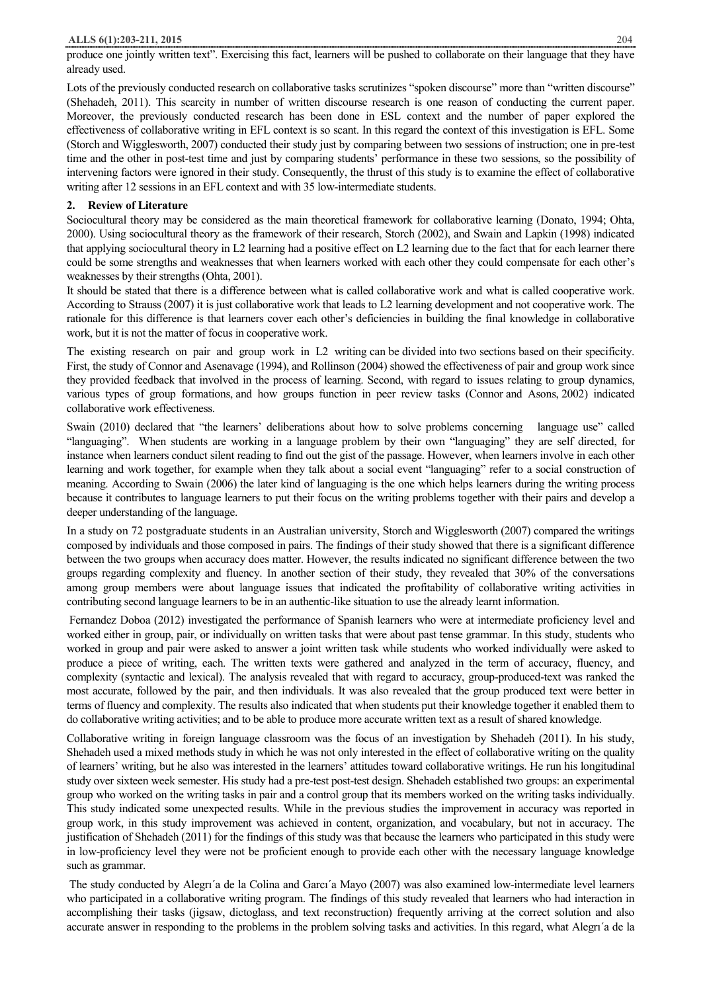## **ALLS 6(1):203-211, 2015** 204

produce one jointly written text". Exercising this fact, learners will be pushed to collaborate on their language that they have already used.

Lots of the previously conducted research on collaborative tasks scrutinizes "spoken discourse" more than "written discourse" (Shehadeh, 2011). This scarcity in number of written discourse research is one reason of conducting the current paper. Moreover, the previously conducted research has been done in ESL context and the number of paper explored the effectiveness of collaborative writing in EFL context is so scant. In this regard the context of this investigation is EFL. Some (Storch and Wigglesworth, 2007) conducted their study just by comparing between two sessions of instruction; one in pre-test time and the other in post-test time and just by comparing students' performance in these two sessions, so the possibility of intervening factors were ignored in their study. Consequently, the thrust of this study is to examine the effect of collaborative writing after 12 sessions in an EFL context and with 35 low-intermediate students.

#### **2. Review of Literature**

Sociocultural theory may be considered as the main theoretical framework for collaborative learning (Donato, 1994; Ohta, 2000). Using sociocultural theory as the framework of their research, Storch (2002), and Swain and Lapkin (1998) indicated that applying sociocultural theory in L2 learning had a positive effect on L2 learning due to the fact that for each learner there could be some strengths and weaknesses that when learners worked with each other they could compensate for each other's weaknesses by their strengths (Ohta, 2001).

It should be stated that there is a difference between what is called collaborative work and what is called cooperative work. According to Strauss (2007) it is just collaborative work that leads to L2 learning development and not cooperative work. The rationale for this difference is that learners cover each other's deficiencies in building the final knowledge in collaborative work, but it is not the matter of focus in cooperative work.

The existing research on pair and group work in L2 writing can be divided into two sections based on their specificity. First, the study of Connor and Asenavage (1994), and Rollinson (2004) showed the effectiveness of pair and group work since they provided feedback that involved in the process of learning. Second, with regard to issues relating to group dynamics, various types of group formations, and how groups function in peer review tasks (Connor and Asons, 2002) indicated collaborative work effectiveness.

Swain (2010) declared that "the learners' deliberations about how to solve problems concerning language use" called "languaging". When students are working in a language problem by their own "languaging" they are self directed, for instance when learners conduct silent reading to find out the gist of the passage. However, when learners involve in each other learning and work together, for example when they talk about a social event "languaging" refer to a social construction of meaning. According to Swain (2006) the later kind of languaging is the one which helps learners during the writing process because it contributes to language learners to put their focus on the writing problems together with their pairs and develop a deeper understanding of the language.

In a study on 72 postgraduate students in an Australian university, Storch and Wigglesworth (2007) compared the writings composed by individuals and those composed in pairs. The findings of their study showed that there is a significant difference between the two groups when accuracy does matter. However, the results indicated no significant difference between the two groups regarding complexity and fluency. In another section of their study, they revealed that 30% of the conversations among group members were about language issues that indicated the profitability of collaborative writing activities in contributing second language learners to be in an authentic-like situation to use the already learnt information.

Fernandez Doboa (2012) investigated the performance of Spanish learners who were at intermediate proficiency level and worked either in group, pair, or individually on written tasks that were about past tense grammar. In this study, students who worked in group and pair were asked to answer a joint written task while students who worked individually were asked to produce a piece of writing, each. The written texts were gathered and analyzed in the term of accuracy, fluency, and complexity (syntactic and lexical). The analysis revealed that with regard to accuracy, group-produced-text was ranked the most accurate, followed by the pair, and then individuals. It was also revealed that the group produced text were better in terms of fluency and complexity. The results also indicated that when students put their knowledge together it enabled them to do collaborative writing activities; and to be able to produce more accurate written text as a result of shared knowledge.

Collaborative writing in foreign language classroom was the focus of an investigation by Shehadeh (2011). In his study, Shehadeh used a mixed methods study in which he was not only interested in the effect of collaborative writing on the quality of learners' writing, but he also was interested in the learners' attitudes toward collaborative writings. He run his longitudinal study over sixteen week semester. His study had a pre-test post-test design. Shehadeh established two groups: an experimental group who worked on the writing tasks in pair and a control group that its members worked on the writing tasks individually. This study indicated some unexpected results. While in the previous studies the improvement in accuracy was reported in group work, in this study improvement was achieved in content, organization, and vocabulary, but not in accuracy. The justification of Shehadeh (2011) for the findings of this study was that because the learners who participated in this study were in low-proficiency level they were not be proficient enough to provide each other with the necessary language knowledge such as grammar.

The study conducted by Alegrı´a de la Colina and Garcı´a Mayo (2007) was also examined low-intermediate level learners who participated in a collaborative writing program. The findings of this study revealed that learners who had interaction in accomplishing their tasks (jigsaw, dictoglass, and text reconstruction) frequently arriving at the correct solution and also accurate answer in responding to the problems in the problem solving tasks and activities. In this regard, what Alegrı´a de la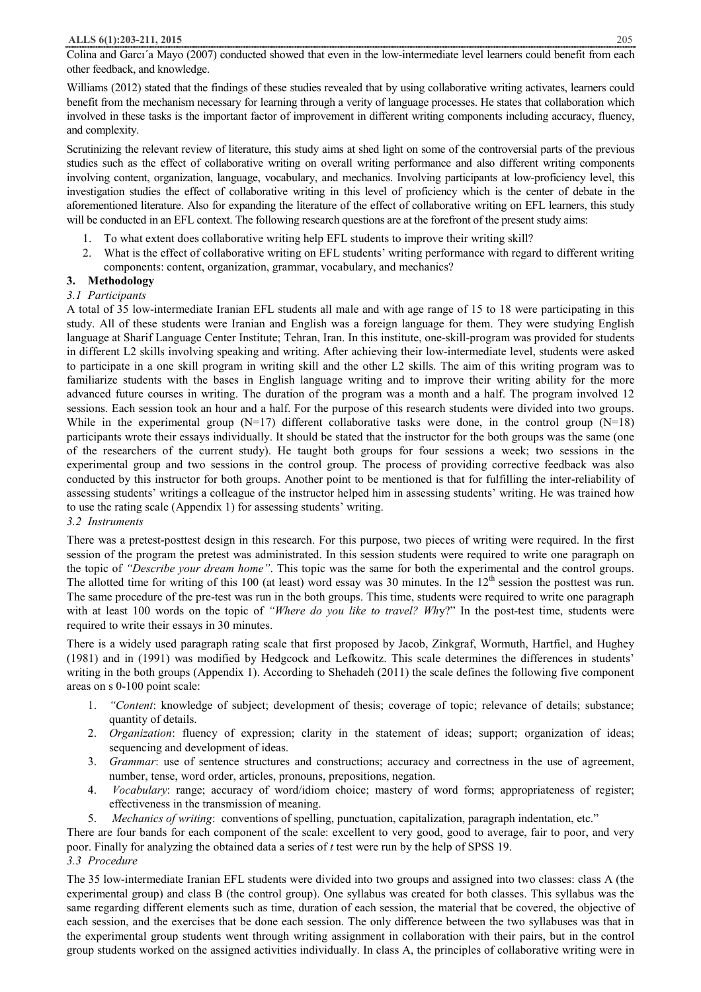Colina and Garcı´a Mayo (2007) conducted showed that even in the low-intermediate level learners could benefit from each other feedback, and knowledge.

Williams (2012) stated that the findings of these studies revealed that by using collaborative writing activates, learners could benefit from the mechanism necessary for learning through a verity of language processes. He states that collaboration which involved in these tasks is the important factor of improvement in different writing components including accuracy, fluency, and complexity.

Scrutinizing the relevant review of literature, this study aims at shed light on some of the controversial parts of the previous studies such as the effect of collaborative writing on overall writing performance and also different writing components involving content, organization, language, vocabulary, and mechanics. Involving participants at low-proficiency level, this investigation studies the effect of collaborative writing in this level of proficiency which is the center of debate in the aforementioned literature. Also for expanding the literature of the effect of collaborative writing on EFL learners, this study will be conducted in an EFL context. The following research questions are at the forefront of the present study aims:

- 1. To what extent does collaborative writing help EFL students to improve their writing skill?
- 2. What is the effect of collaborative writing on EFL students' writing performance with regard to different writing components: content, organization, grammar, vocabulary, and mechanics?

# **3. Methodology**

# *3.1 Participants*

A total of 35 low-intermediate Iranian EFL students all male and with age range of 15 to 18 were participating in this study. All of these students were Iranian and English was a foreign language for them. They were studying English language at Sharif Language Center Institute; Tehran, Iran. In this institute, one-skill-program was provided for students in different L2 skills involving speaking and writing. After achieving their low-intermediate level, students were asked to participate in a one skill program in writing skill and the other L2 skills. The aim of this writing program was to familiarize students with the bases in English language writing and to improve their writing ability for the more advanced future courses in writing. The duration of the program was a month and a half. The program involved 12 sessions. Each session took an hour and a half. For the purpose of this research students were divided into two groups. While in the experimental group  $(N=17)$  different collaborative tasks were done, in the control group  $(N=18)$ participants wrote their essays individually. It should be stated that the instructor for the both groups was the same (one of the researchers of the current study). He taught both groups for four sessions a week; two sessions in the experimental group and two sessions in the control group. The process of providing corrective feedback was also conducted by this instructor for both groups. Another point to be mentioned is that for fulfilling the inter-reliability of assessing students' writings a colleague of the instructor helped him in assessing students' writing. He was trained how to use the rating scale (Appendix 1) for assessing students' writing.

# *3.2 Instruments*

There was a pretest-posttest design in this research. For this purpose, two pieces of writing were required. In the first session of the program the pretest was administrated. In this session students were required to write one paragraph on the topic of *"Describe your dream home"*. This topic was the same for both the experimental and the control groups. The allotted time for writing of this 100 (at least) word essay was 30 minutes. In the  $12<sup>th</sup>$  session the posttest was run. The same procedure of the pre-test was run in the both groups. This time, students were required to write one paragraph with at least 100 words on the topic of *"Where do you like to travel? Wh*y?" In the post-test time, students were required to write their essays in 30 minutes.

There is a widely used paragraph rating scale that first proposed by Jacob, Zinkgraf, Wormuth, Hartfiel, and Hughey (1981) and in (1991) was modified by Hedgcock and Lefkowitz. This scale determines the differences in students' writing in the both groups (Appendix 1). According to Shehadeh (2011) the scale defines the following five component areas on s 0-100 point scale:

- 1. *"Content*: knowledge of subject; development of thesis; coverage of topic; relevance of details; substance; quantity of details.
- 2. *Organization*: fluency of expression; clarity in the statement of ideas; support; organization of ideas; sequencing and development of ideas.
- 3. *Grammar*: use of sentence structures and constructions; accuracy and correctness in the use of agreement, number, tense, word order, articles, pronouns, prepositions, negation.
- 4. *Vocabulary*: range; accuracy of word/idiom choice; mastery of word forms; appropriateness of register; effectiveness in the transmission of meaning.
- 5. *Mechanics of writing*: conventions of spelling, punctuation, capitalization, paragraph indentation, etc."

There are four bands for each component of the scale: excellent to very good, good to average, fair to poor, and very poor. Finally for analyzing the obtained data a series of *t* test were run by the help of SPSS 19.

# *3.3 Procedure*

The 35 low-intermediate Iranian EFL students were divided into two groups and assigned into two classes: class A (the experimental group) and class B (the control group). One syllabus was created for both classes. This syllabus was the same regarding different elements such as time, duration of each session, the material that be covered, the objective of each session, and the exercises that be done each session. The only difference between the two syllabuses was that in the experimental group students went through writing assignment in collaboration with their pairs, but in the control group students worked on the assigned activities individually. In class A, the principles of collaborative writing were in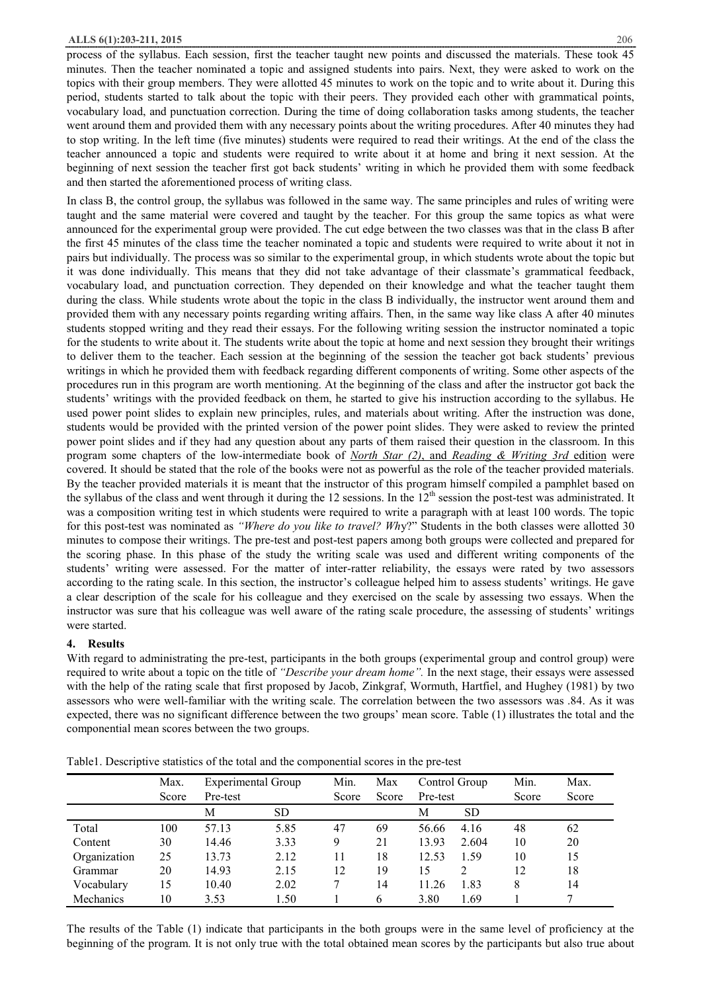process of the syllabus. Each session, first the teacher taught new points and discussed the materials. These took 45 minutes. Then the teacher nominated a topic and assigned students into pairs. Next, they were asked to work on the topics with their group members. They were allotted 45 minutes to work on the topic and to write about it. During this period, students started to talk about the topic with their peers. They provided each other with grammatical points, vocabulary load, and punctuation correction. During the time of doing collaboration tasks among students, the teacher went around them and provided them with any necessary points about the writing procedures. After 40 minutes they had to stop writing. In the left time (five minutes) students were required to read their writings. At the end of the class the teacher announced a topic and students were required to write about it at home and bring it next session. At the beginning of next session the teacher first got back students' writing in which he provided them with some feedback and then started the aforementioned process of writing class.

In class B, the control group, the syllabus was followed in the same way. The same principles and rules of writing were taught and the same material were covered and taught by the teacher. For this group the same topics as what were announced for the experimental group were provided. The cut edge between the two classes was that in the class B after the first 45 minutes of the class time the teacher nominated a topic and students were required to write about it not in pairs but individually. The process was so similar to the experimental group, in which students wrote about the topic but it was done individually. This means that they did not take advantage of their classmate's grammatical feedback, vocabulary load, and punctuation correction. They depended on their knowledge and what the teacher taught them during the class. While students wrote about the topic in the class B individually, the instructor went around them and provided them with any necessary points regarding writing affairs. Then, in the same way like class A after 40 minutes students stopped writing and they read their essays. For the following writing session the instructor nominated a topic for the students to write about it. The students write about the topic at home and next session they brought their writings to deliver them to the teacher. Each session at the beginning of the session the teacher got back students' previous writings in which he provided them with feedback regarding different components of writing. Some other aspects of the procedures run in this program are worth mentioning. At the beginning of the class and after the instructor got back the students' writings with the provided feedback on them, he started to give his instruction according to the syllabus. He used power point slides to explain new principles, rules, and materials about writing. After the instruction was done, students would be provided with the printed version of the power point slides. They were asked to review the printed power point slides and if they had any question about any parts of them raised their question in the classroom. In this program some chapters of the low-intermediate book of *North Star (2)*, and *Reading & Writing 3rd* edition were covered. It should be stated that the role of the books were not as powerful as the role of the teacher provided materials. By the teacher provided materials it is meant that the instructor of this program himself compiled a pamphlet based on the syllabus of the class and went through it during the 12 sessions. In the  $12<sup>th</sup>$  session the post-test was administrated. It was a composition writing test in which students were required to write a paragraph with at least 100 words. The topic for this post-test was nominated as *"Where do you like to travel? Wh*y?" Students in the both classes were allotted 30 minutes to compose their writings. The pre-test and post-test papers among both groups were collected and prepared for the scoring phase. In this phase of the study the writing scale was used and different writing components of the students' writing were assessed. For the matter of inter-ratter reliability, the essays were rated by two assessors according to the rating scale. In this section, the instructor's colleague helped him to assess students' writings. He gave a clear description of the scale for his colleague and they exercised on the scale by assessing two essays. When the instructor was sure that his colleague was well aware of the rating scale procedure, the assessing of students' writings were started.

## **4. Results**

With regard to administrating the pre-test, participants in the both groups (experimental group and control group) were required to write about a topic on the title of *"Describe your dream home".* In the next stage, their essays were assessed with the help of the rating scale that first proposed by Jacob, Zinkgraf, Wormuth, Hartfiel, and Hughey (1981) by two assessors who were well-familiar with the writing scale. The correlation between the two assessors was .84. As it was expected, there was no significant difference between the two groups' mean score. Table (1) illustrates the total and the componential mean scores between the two groups.

|              | Max.  | <b>Experimental Group</b> |           | Min.  | Max   | Control Group |           | Min.  | Max.  |
|--------------|-------|---------------------------|-----------|-------|-------|---------------|-----------|-------|-------|
|              | Score | Pre-test                  |           | Score | Score | Pre-test      |           | Score | Score |
|              |       | М                         | <b>SD</b> |       |       | М             | <b>SD</b> |       |       |
| Total        | 100   | 57.13                     | 5.85      | 47    | 69    | 56.66         | 4.16      | 48    | 62    |
| Content      | 30    | 14.46                     | 3.33      | 9     | 21    | 13.93         | 2.604     | 10    | 20    |
| Organization | 25    | 13.73                     | 2.12      |       | 18    | 12.53         | 1.59      | 10    | 15    |
| Grammar      | 20    | 14.93                     | 2.15      | 12    | 19    | 15            |           | 12    | 18    |
| Vocabulary   | 15    | 10.40                     | 2.02      |       | 14    | .26<br>11     | 1.83      | 8     | 14    |
| Mechanics    | 10    | 3.53                      | 1.50      |       | 6     | 3.80          | 1.69      |       |       |

Table1. Descriptive statistics of the total and the componential scores in the pre-test

The results of the Table (1) indicate that participants in the both groups were in the same level of proficiency at the beginning of the program. It is not only true with the total obtained mean scores by the participants but also true about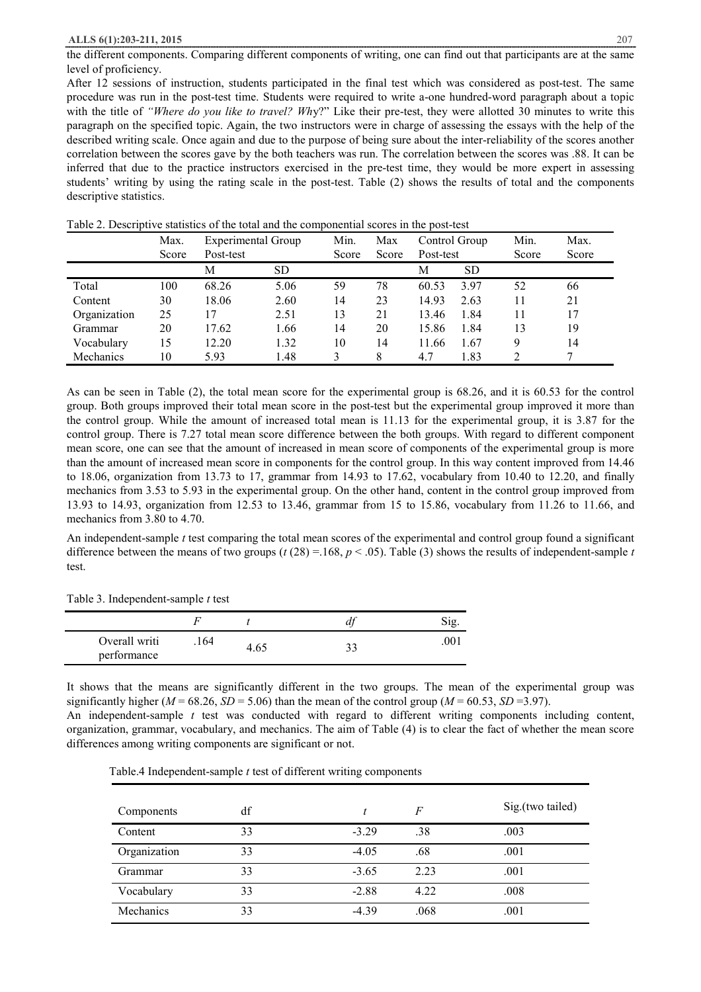the different components. Comparing different components of writing, one can find out that participants are at the same level of proficiency.

After 12 sessions of instruction, students participated in the final test which was considered as post-test. The same procedure was run in the post-test time. Students were required to write a-one hundred-word paragraph about a topic with the title of *"Where do you like to travel? Wh*y?" Like their pre-test, they were allotted 30 minutes to write this paragraph on the specified topic. Again, the two instructors were in charge of assessing the essays with the help of the described writing scale. Once again and due to the purpose of being sure about the inter-reliability of the scores another correlation between the scores gave by the both teachers was run. The correlation between the scores was .88. It can be inferred that due to the practice instructors exercised in the pre-test time, they would be more expert in assessing students' writing by using the rating scale in the post-test. Table (2) shows the results of total and the components descriptive statistics.

|              | Max.  | Experimental Group |           | Min.  | Max   |           | Control Group | Min.  | Max.  |
|--------------|-------|--------------------|-----------|-------|-------|-----------|---------------|-------|-------|
|              | Score | Post-test          |           | Score | Score | Post-test |               | Score | Score |
|              |       | М                  | <b>SD</b> |       |       | М         | <b>SD</b>     |       |       |
| Total        | 100   | 68.26              | 5.06      | 59    | 78    | 60.53     | 3.97          | 52    | 66    |
| Content      | 30    | 18.06              | 2.60      | 14    | 23    | 14.93     | 2.63          | 11    | 21    |
| Organization | 25    | 17                 | 2.51      | 13    | 21    | 13.46     | 1.84          | 11    | 17    |
| Grammar      | 20    | 17.62              | 1.66      | 14    | 20    | 15.86     | 1.84          | 13    | 19    |
| Vocabulary   | 15    | 12.20              | 1.32      | 10    | 14    | 11.66     | 1.67          | Q     | 14    |
| Mechanics    | 10    | 593                | 1.48      |       | 8     | 4.7       | 1.83          |       |       |

Table 2. Descriptive statistics of the total and the componential scores in the post-test

As can be seen in Table (2), the total mean score for the experimental group is 68.26, and it is 60.53 for the control group. Both groups improved their total mean score in the post-test but the experimental group improved it more than the control group. While the amount of increased total mean is 11.13 for the experimental group, it is 3.87 for the control group. There is 7.27 total mean score difference between the both groups. With regard to different component mean score, one can see that the amount of increased in mean score of components of the experimental group is more than the amount of increased mean score in components for the control group. In this way content improved from 14.46 to 18.06, organization from 13.73 to 17, grammar from 14.93 to 17.62, vocabulary from 10.40 to 12.20, and finally mechanics from 3.53 to 5.93 in the experimental group. On the other hand, content in the control group improved from 13.93 to 14.93, organization from 12.53 to 13.46, grammar from 15 to 15.86, vocabulary from 11.26 to 11.66, and mechanics from 3.80 to 4.70.

An independent-sample *t* test comparing the total mean scores of the experimental and control group found a significant difference between the means of two groups ( $t(28) = 168$ ,  $p < .05$ ). Table (3) shows the results of independent-sample t test.

Table 3. Independent-sample *t* test

| Overall writi<br>performance | 164 | 4.65 | 00. |
|------------------------------|-----|------|-----|

It shows that the means are significantly different in the two groups. The mean of the experimental group was significantly higher ( $M = 68.26$ ,  $SD = 5.06$ ) than the mean of the control group ( $M = 60.53$ ,  $SD = 3.97$ ).

An independent-sample *t* test was conducted with regard to different writing components including content, organization, grammar, vocabulary, and mechanics. The aim of Table (4) is to clear the fact of whether the mean score differences among writing components are significant or not.

Table.4 Independent-sample *t* test of different writing components

| Components   | df |         | F    | Sig.(two tailed) |
|--------------|----|---------|------|------------------|
| Content      | 33 | $-3.29$ | .38  | .003             |
| Organization | 33 | $-4.05$ | .68  | .001             |
| Grammar      | 33 | $-3.65$ | 2.23 | .001             |
| Vocabulary   | 33 | $-2.88$ | 4.22 | .008             |
| Mechanics    | 33 | $-4.39$ | .068 | .001             |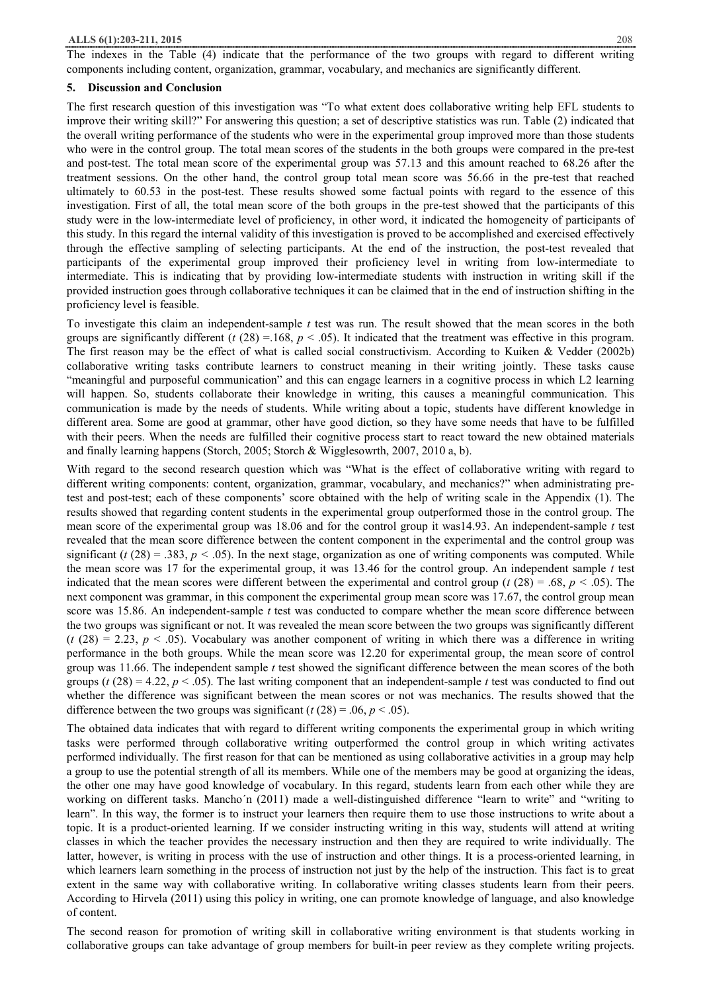#### **ALLS 6(1):203-211, 2015** 208

The indexes in the Table (4) indicate that the performance of the two groups with regard to different writing components including content, organization, grammar, vocabulary, and mechanics are significantly different.

#### **5. Discussion and Conclusion**

The first research question of this investigation was "To what extent does collaborative writing help EFL students to improve their writing skill?" For answering this question; a set of descriptive statistics was run. Table (2) indicated that the overall writing performance of the students who were in the experimental group improved more than those students who were in the control group. The total mean scores of the students in the both groups were compared in the pre-test and post-test. The total mean score of the experimental group was 57.13 and this amount reached to 68.26 after the treatment sessions. On the other hand, the control group total mean score was 56.66 in the pre-test that reached ultimately to 60.53 in the post-test. These results showed some factual points with regard to the essence of this investigation. First of all, the total mean score of the both groups in the pre-test showed that the participants of this study were in the low-intermediate level of proficiency, in other word, it indicated the homogeneity of participants of this study. In this regard the internal validity of this investigation is proved to be accomplished and exercised effectively through the effective sampling of selecting participants. At the end of the instruction, the post-test revealed that participants of the experimental group improved their proficiency level in writing from low-intermediate to intermediate. This is indicating that by providing low-intermediate students with instruction in writing skill if the provided instruction goes through collaborative techniques it can be claimed that in the end of instruction shifting in the proficiency level is feasible.

To investigate this claim an independent-sample *t* test was run. The result showed that the mean scores in the both groups are significantly different ( $t$  (28) = 168,  $p$  < .05). It indicated that the treatment was effective in this program. The first reason may be the effect of what is called social constructivism. According to Kuiken & Vedder (2002b) collaborative writing tasks contribute learners to construct meaning in their writing jointly. These tasks cause "meaningful and purposeful communication" and this can engage learners in a cognitive process in which L2 learning will happen. So, students collaborate their knowledge in writing, this causes a meaningful communication. This communication is made by the needs of students. While writing about a topic, students have different knowledge in different area. Some are good at grammar, other have good diction, so they have some needs that have to be fulfilled with their peers. When the needs are fulfilled their cognitive process start to react toward the new obtained materials and finally learning happens (Storch, 2005; Storch & Wigglesowrth, 2007, 2010 a, b).

With regard to the second research question which was "What is the effect of collaborative writing with regard to different writing components: content, organization, grammar, vocabulary, and mechanics?" when administrating pretest and post-test; each of these components' score obtained with the help of writing scale in the Appendix (1). The results showed that regarding content students in the experimental group outperformed those in the control group. The mean score of the experimental group was 18.06 and for the control group it was14.93. An independent-sample *t* test revealed that the mean score difference between the content component in the experimental and the control group was significant ( $t$  (28) = .383,  $p < .05$ ). In the next stage, organization as one of writing components was computed. While the mean score was 17 for the experimental group, it was 13.46 for the control group. An independent sample *t* test indicated that the mean scores were different between the experimental and control group ( $t$  (28) = .68,  $p$  < .05). The next component was grammar, in this component the experimental group mean score was 17.67, the control group mean score was 15.86. An independent-sample *t* test was conducted to compare whether the mean score difference between the two groups was significant or not. It was revealed the mean score between the two groups was significantly different  $(t (28) = 2.23, p < .05)$ . Vocabulary was another component of writing in which there was a difference in writing performance in the both groups. While the mean score was 12.20 for experimental group, the mean score of control group was 11.66. The independent sample *t* test showed the significant difference between the mean scores of the both groups ( $t$  (28) = 4.22,  $p < .05$ ). The last writing component that an independent-sample t test was conducted to find out whether the difference was significant between the mean scores or not was mechanics. The results showed that the difference between the two groups was significant ( $t$  (28) = .06,  $p$  < .05).

The obtained data indicates that with regard to different writing components the experimental group in which writing tasks were performed through collaborative writing outperformed the control group in which writing activates performed individually. The first reason for that can be mentioned as using collaborative activities in a group may help a group to use the potential strength of all its members. While one of the members may be good at organizing the ideas, the other one may have good knowledge of vocabulary. In this regard, students learn from each other while they are working on different tasks. Mancho'n (2011) made a well-distinguished difference "learn to write" and "writing to learn". In this way, the former is to instruct your learners then require them to use those instructions to write about a topic. It is a product-oriented learning. If we consider instructing writing in this way, students will attend at writing classes in which the teacher provides the necessary instruction and then they are required to write individually. The latter, however, is writing in process with the use of instruction and other things. It is a process-oriented learning, in which learners learn something in the process of instruction not just by the help of the instruction. This fact is to great extent in the same way with collaborative writing. In collaborative writing classes students learn from their peers. According to Hirvela (2011) using this policy in writing, one can promote knowledge of language, and also knowledge of content.

The second reason for promotion of writing skill in collaborative writing environment is that students working in collaborative groups can take advantage of group members for built-in peer review as they complete writing projects.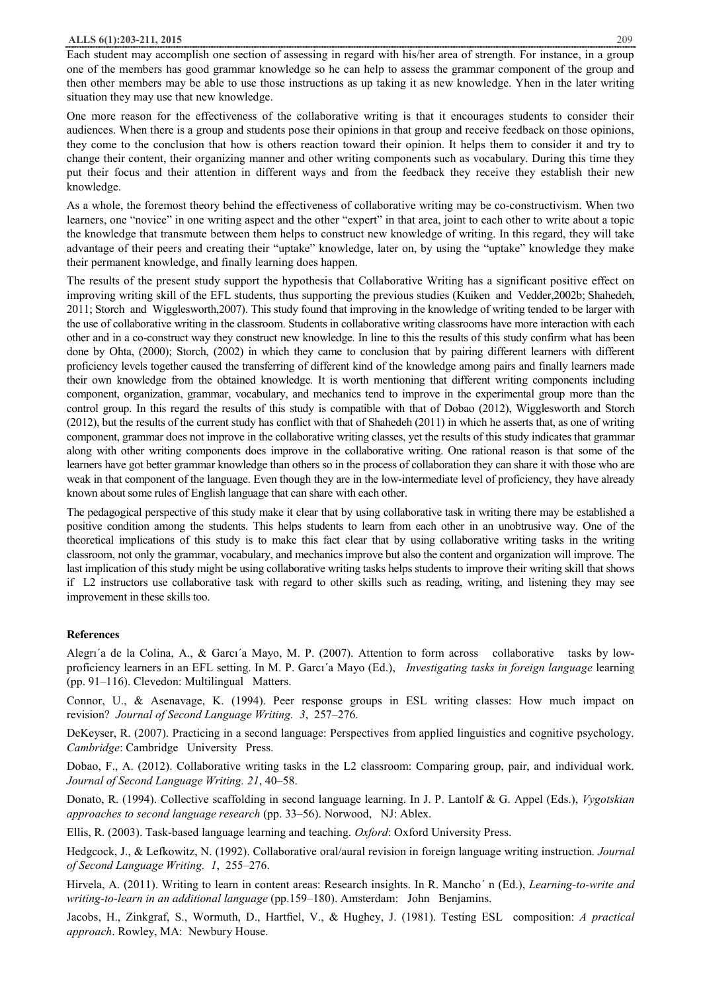Each student may accomplish one section of assessing in regard with his/her area of strength. For instance, in a group one of the members has good grammar knowledge so he can help to assess the grammar component of the group and then other members may be able to use those instructions as up taking it as new knowledge. Yhen in the later writing situation they may use that new knowledge.

One more reason for the effectiveness of the collaborative writing is that it encourages students to consider their audiences. When there is a group and students pose their opinions in that group and receive feedback on those opinions, they come to the conclusion that how is others reaction toward their opinion. It helps them to consider it and try to change their content, their organizing manner and other writing components such as vocabulary. During this time they put their focus and their attention in different ways and from the feedback they receive they establish their new knowledge.

As a whole, the foremost theory behind the effectiveness of collaborative writing may be co-constructivism. When two learners, one "novice" in one writing aspect and the other "expert" in that area, joint to each other to write about a topic the knowledge that transmute between them helps to construct new knowledge of writing. In this regard, they will take advantage of their peers and creating their "uptake" knowledge, later on, by using the "uptake" knowledge they make their permanent knowledge, and finally learning does happen.

The results of the present study support the hypothesis that Collaborative Writing has a significant positive effect on improving writing skill of the EFL students, thus supporting the previous studies (Kuiken and Vedder,2002b; Shahedeh, 2011; Storch and Wigglesworth,2007). This study found that improving in the knowledge of writing tended to be larger with the use of collaborative writing in the classroom. Students in collaborative writing classrooms have more interaction with each other and in a co-construct way they construct new knowledge. In line to this the results of this study confirm what has been done by Ohta, (2000); Storch, (2002) in which they came to conclusion that by pairing different learners with different proficiency levels together caused the transferring of different kind of the knowledge among pairs and finally learners made their own knowledge from the obtained knowledge. It is worth mentioning that different writing components including component, organization, grammar, vocabulary, and mechanics tend to improve in the experimental group more than the control group. In this regard the results of this study is compatible with that of Dobao (2012), Wigglesworth and Storch (2012), but the results of the current study has conflict with that of Shahedeh (2011) in which he asserts that, as one of writing component, grammar does not improve in the collaborative writing classes, yet the results of this study indicates that grammar along with other writing components does improve in the collaborative writing. One rational reason is that some of the learners have got better grammar knowledge than others so in the process of collaboration they can share it with those who are weak in that component of the language. Even though they are in the low-intermediate level of proficiency, they have already known about some rules of English language that can share with each other.

The pedagogical perspective of this study make it clear that by using collaborative task in writing there may be established a positive condition among the students. This helps students to learn from each other in an unobtrusive way. One of the theoretical implications of this study is to make this fact clear that by using collaborative writing tasks in the writing classroom, not only the grammar, vocabulary, and mechanics improve but also the content and organization will improve. The last implication of this study might be using collaborative writing tasks helps students to improve their writing skill that shows if L2 instructors use collaborative task with regard to other skills such as reading, writing, and listening they may see improvement in these skills too.

## **References**

Alegrı´a de la Colina, A., & Garcı´a Mayo, M. P. (2007). Attention to form across collaborative tasks by lowproficiency learners in an EFL setting. In M. P. Garcı´a Mayo (Ed.), *Investigating tasks in foreign language* learning (pp. 91–116). Clevedon: Multilingual Matters.

Connor, U., & Asenavage, K. (1994). Peer response groups in ESL writing classes: How much impact on revision? *Journal of Second Language Writing. 3*, 257–276.

DeKeyser, R. (2007). Practicing in a second language: Perspectives from applied linguistics and cognitive psychology. *Cambridge*: Cambridge University Press.

Dobao, F., A. (2012). Collaborative writing tasks in the L2 classroom: Comparing group, pair, and individual work. *Journal of Second Language Writing. 21*, 40–58.

Donato, R. (1994). Collective scaffolding in second language learning. In J. P. Lantolf & G. Appel (Eds.), *Vygotskian approaches to second language research* (pp. 33–56). Norwood, NJ: Ablex.

Ellis, R. (2003). Task-based language learning and teaching. *Oxford*: Oxford University Press.

Hedgcock, J., & Lefkowitz, N. (1992). Collaborative oral/aural revision in foreign language writing instruction. *Journal of Second Language Writing. 1*, 255–276.

Hirvela, A. (2011). Writing to learn in content areas: Research insights. In R. Mancho´ n (Ed.), *Learning-to-write and writing-to-learn in an additional language* (pp.159–180). Amsterdam: John Benjamins.

Jacobs, H., Zinkgraf, S., Wormuth, D., Hartfiel, V., & Hughey, J. (1981). Testing ESL composition: *A practical approach*. Rowley, MA: Newbury House.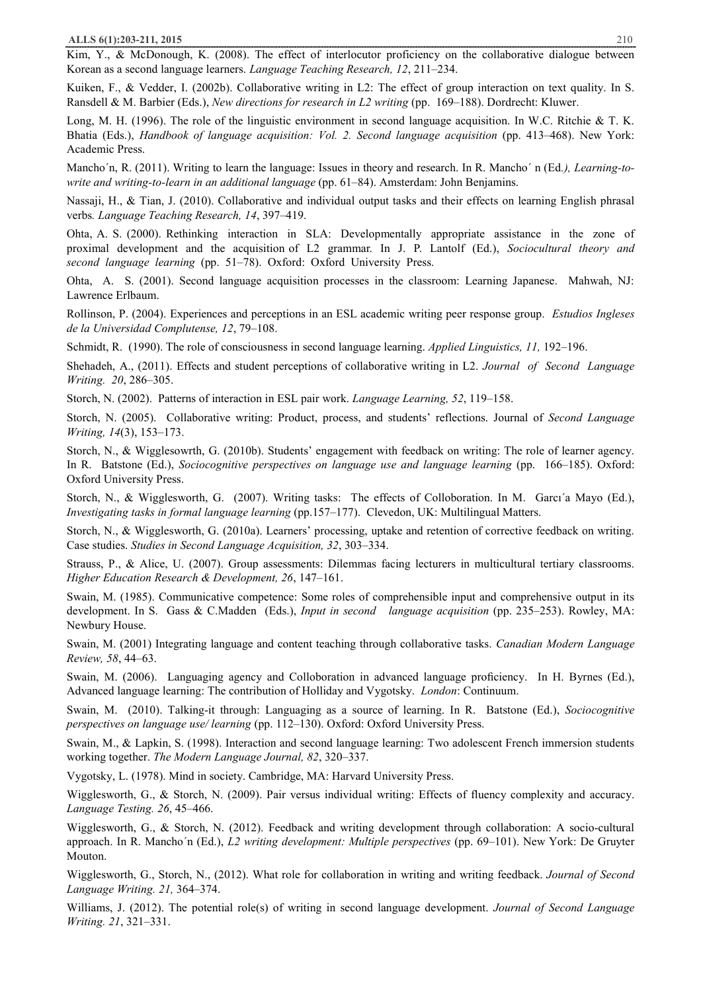Kim, Y., & McDonough, K. (2008). The effect of interlocutor proficiency on the collaborative dialogue between Korean as a second language learners. *Language Teaching Research, 12*, 211–234.

Kuiken, F., & Vedder, I. (2002b). Collaborative writing in L2: The effect of group interaction on text quality. In S. Ransdell & M. Barbier (Eds.), *New directions for research in L2 writing* (pp. 169–188). Dordrecht: Kluwer.

Long, M. H. (1996). The role of the linguistic environment in second language acquisition. In W.C. Ritchie & T. K. Bhatia (Eds.), *Handbook of language acquisition: Vol. 2. Second language acquisition* (pp. 413–468). New York: Academic Press.

Mancho´n, R. (2011). Writing to learn the language: Issues in theory and research. In R. Mancho´ n (Ed*.), Learning-towrite and writing-to-learn in an additional language* (pp. 61–84). Amsterdam: John Benjamins.

Nassaji, H., & Tian, J. (2010). Collaborative and individual output tasks and their effects on learning English phrasal verbs*. Language Teaching Research, 14*, 397–419.

Ohta, A. S. (2000). Rethinking interaction in SLA: Developmentally appropriate assistance in the zone of proximal development and the acquisition of L2 grammar. In J. P. Lantolf (Ed.), *Sociocultural theory and second language learning* (pp. 51–78). Oxford: Oxford University Press.

Ohta, A. S. (2001). Second language acquisition processes in the classroom: Learning Japanese. Mahwah, NJ: Lawrence Erlbaum.

Rollinson, P. (2004). Experiences and perceptions in an ESL academic writing peer response group. *Estudios Ingleses de la Universidad Complutense, 12*, 79–108.

Schmidt, R. (1990). The role of consciousness in second language learning. *Applied Linguistics, 11,* 192–196.

Shehadeh, A., (2011). Effects and student perceptions of collaborative writing in L2. *Journal of Second Language Writing. 20*, 286–305.

Storch, N. (2002). Patterns of interaction in ESL pair work. *Language Learning, 52*, 119–158.

Storch, N. (2005). Collaborative writing: Product, process, and students' reflections. Journal of *Second Language Writing, 14*(3), 153–173.

Storch, N., & Wigglesowrth, G. (2010b). Students' engagement with feedback on writing: The role of learner agency. In R. Batstone (Ed.), *Sociocognitive perspectives on language use and language learning* (pp. 166–185). Oxford: Oxford University Press.

Storch, N., & Wigglesworth, G. (2007). Writing tasks: The effects of Colloboration. In M. Garcı´a Mayo (Ed.), *Investigating tasks in formal language learning* (pp.157–177). Clevedon, UK: Multilingual Matters.

Storch, N., & Wigglesworth, G. (2010a). Learners' processing, uptake and retention of corrective feedback on writing. Case studies. *Studies in Second Language Acquisition, 32*, 303–334.

Strauss, P., & Alice, U. (2007). Group assessments: Dilemmas facing lecturers in multicultural tertiary classrooms. *Higher Education Research & Development, 26*, 147–161.

Swain, M. (1985). Communicative competence: Some roles of comprehensible input and comprehensive output in its development. In S. Gass & C.Madden (Eds.), *Input in second language acquisition* (pp. 235–253). Rowley, MA: Newbury House.

Swain, M. (2001) Integrating language and content teaching through collaborative tasks. *Canadian Modern Language Review, 58*, 44–63.

Swain, M. (2006). Languaging agency and Colloboration in advanced language proficiency. In H. Byrnes (Ed.), Advanced language learning: The contribution of Holliday and Vygotsky. *London*: Continuum.

Swain, M. (2010). Talking-it through: Languaging as a source of learning. In R. Batstone (Ed.), *Sociocognitive perspectives on language use/ learning* (pp. 112–130). Oxford: Oxford University Press.

Swain, M., & Lapkin, S. (1998). Interaction and second language learning: Two adolescent French immersion students working together. *The Modern Language Journal, 82*, 320–337.

Vygotsky, L. (1978). Mind in society. Cambridge, MA: Harvard University Press.

Wigglesworth, G., & Storch, N. (2009). Pair versus individual writing: Effects of fluency complexity and accuracy. *Language Testing. 26*, 45–466.

Wigglesworth, G., & Storch, N. (2012). Feedback and writing development through collaboration: A socio-cultural approach. In R. Mancho´n (Ed.), *L2 writing development: Multiple perspectives* (pp. 69–101). New York: De Gruyter Mouton.

Wigglesworth, G., Storch, N., (2012). What role for collaboration in writing and writing feedback. *Journal of Second Language Writing. 21,* 364–374.

Williams, J. (2012). The potential role(s) of writing in second language development. *Journal of Second Language Writing. 21*, 321–331.